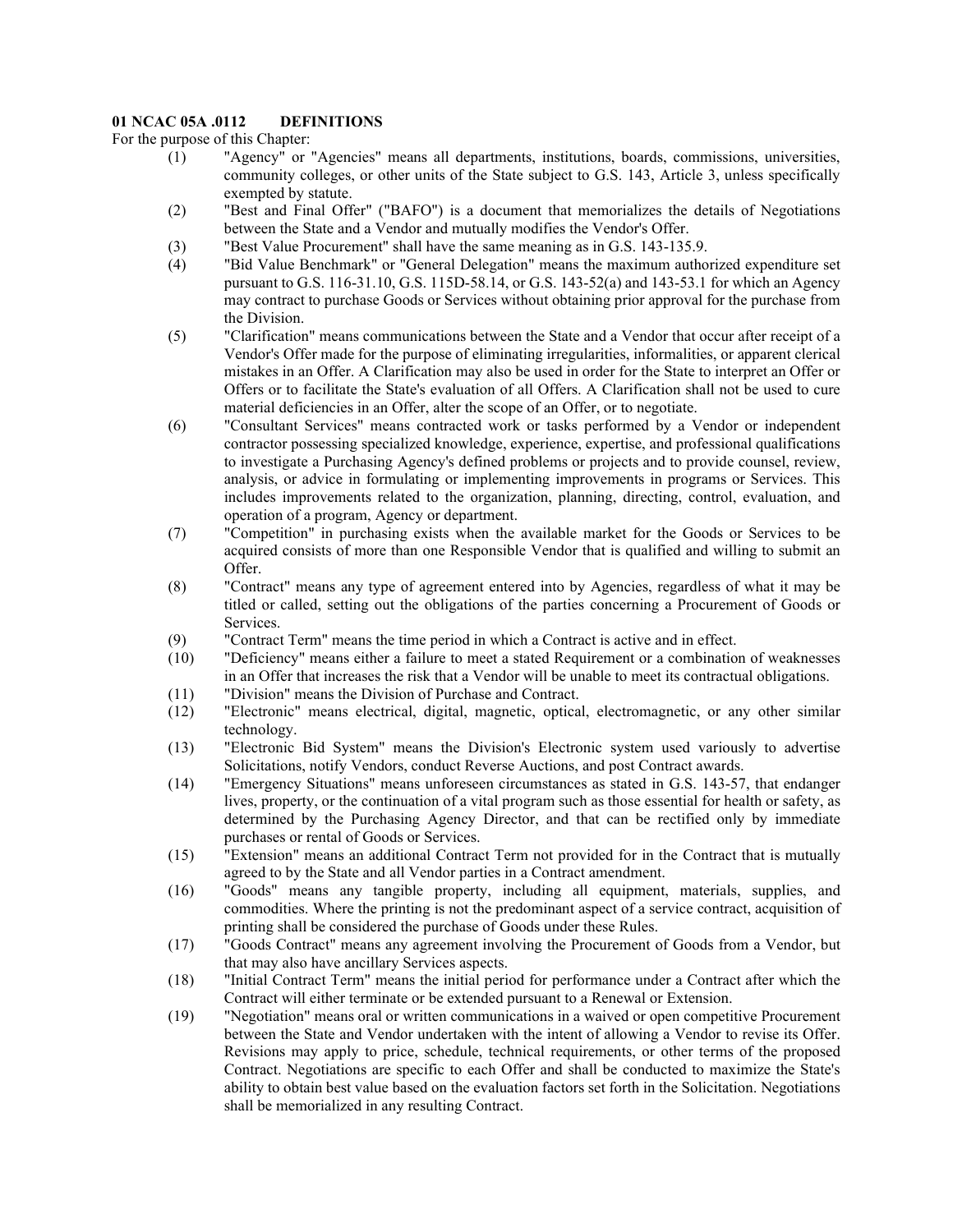## **01 NCAC 05A .0112 DEFINITIONS**

For the purpose of this Chapter:

- (1) "Agency" or "Agencies" means all departments, institutions, boards, commissions, universities, community colleges, or other units of the State subject to G.S. 143, Article 3, unless specifically exempted by statute.
- (2) "Best and Final Offer" ("BAFO") is a document that memorializes the details of Negotiations between the State and a Vendor and mutually modifies the Vendor's Offer.
- (3) "Best Value Procurement" shall have the same meaning as in G.S. 143-135.9.
- (4) "Bid Value Benchmark" or "General Delegation" means the maximum authorized expenditure set pursuant to G.S. 116-31.10, G.S. 115D-58.14, or G.S. 143-52(a) and 143-53.1 for which an Agency may contract to purchase Goods or Services without obtaining prior approval for the purchase from the Division.
- (5) "Clarification" means communications between the State and a Vendor that occur after receipt of a Vendor's Offer made for the purpose of eliminating irregularities, informalities, or apparent clerical mistakes in an Offer. A Clarification may also be used in order for the State to interpret an Offer or Offers or to facilitate the State's evaluation of all Offers. A Clarification shall not be used to cure material deficiencies in an Offer, alter the scope of an Offer, or to negotiate.
- (6) "Consultant Services" means contracted work or tasks performed by a Vendor or independent contractor possessing specialized knowledge, experience, expertise, and professional qualifications to investigate a Purchasing Agency's defined problems or projects and to provide counsel, review, analysis, or advice in formulating or implementing improvements in programs or Services. This includes improvements related to the organization, planning, directing, control, evaluation, and operation of a program, Agency or department.
- (7) "Competition" in purchasing exists when the available market for the Goods or Services to be acquired consists of more than one Responsible Vendor that is qualified and willing to submit an Offer.
- (8) "Contract" means any type of agreement entered into by Agencies, regardless of what it may be titled or called, setting out the obligations of the parties concerning a Procurement of Goods or Services.
- (9) "Contract Term" means the time period in which a Contract is active and in effect.
- (10) "Deficiency" means either a failure to meet a stated Requirement or a combination of weaknesses in an Offer that increases the risk that a Vendor will be unable to meet its contractual obligations.
- (11) "Division" means the Division of Purchase and Contract.
- (12) "Electronic" means electrical, digital, magnetic, optical, electromagnetic, or any other similar technology.
- (13) "Electronic Bid System" means the Division's Electronic system used variously to advertise Solicitations, notify Vendors, conduct Reverse Auctions, and post Contract awards.
- (14) "Emergency Situations" means unforeseen circumstances as stated in G.S. 143-57, that endanger lives, property, or the continuation of a vital program such as those essential for health or safety, as determined by the Purchasing Agency Director, and that can be rectified only by immediate purchases or rental of Goods or Services.
- (15) "Extension" means an additional Contract Term not provided for in the Contract that is mutually agreed to by the State and all Vendor parties in a Contract amendment.
- (16) "Goods" means any tangible property, including all equipment, materials, supplies, and commodities. Where the printing is not the predominant aspect of a service contract, acquisition of printing shall be considered the purchase of Goods under these Rules.
- (17) "Goods Contract" means any agreement involving the Procurement of Goods from a Vendor, but that may also have ancillary Services aspects.
- (18) "Initial Contract Term" means the initial period for performance under a Contract after which the Contract will either terminate or be extended pursuant to a Renewal or Extension.
- (19) "Negotiation" means oral or written communications in a waived or open competitive Procurement between the State and Vendor undertaken with the intent of allowing a Vendor to revise its Offer. Revisions may apply to price, schedule, technical requirements, or other terms of the proposed Contract. Negotiations are specific to each Offer and shall be conducted to maximize the State's ability to obtain best value based on the evaluation factors set forth in the Solicitation. Negotiations shall be memorialized in any resulting Contract.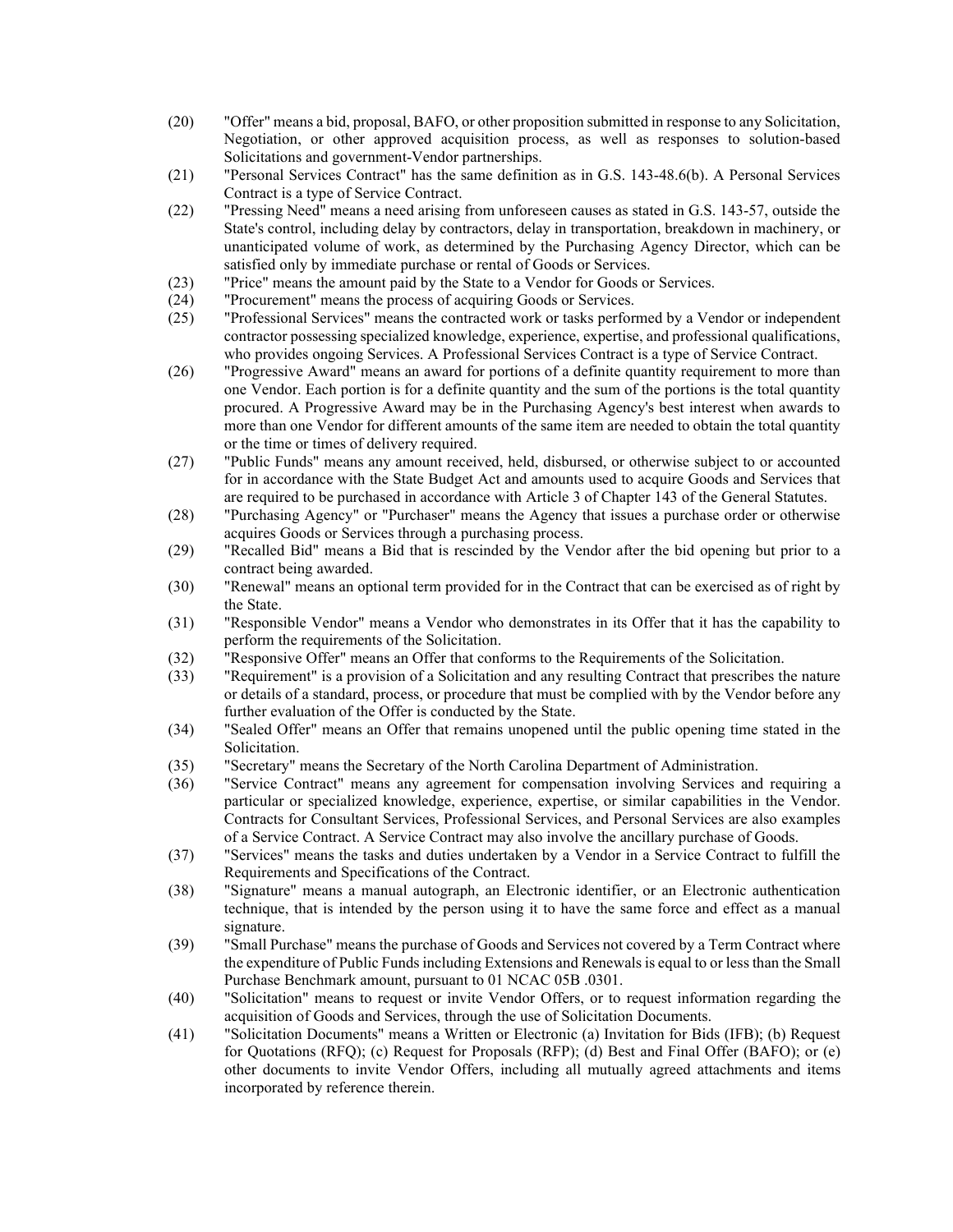- (20) "Offer" means a bid, proposal, BAFO, or other proposition submitted in response to any Solicitation, Negotiation, or other approved acquisition process, as well as responses to solution-based Solicitations and government-Vendor partnerships.
- (21) "Personal Services Contract" has the same definition as in G.S. 143-48.6(b). A Personal Services Contract is a type of Service Contract.
- (22) "Pressing Need" means a need arising from unforeseen causes as stated in G.S. 143-57, outside the State's control, including delay by contractors, delay in transportation, breakdown in machinery, or unanticipated volume of work, as determined by the Purchasing Agency Director, which can be satisfied only by immediate purchase or rental of Goods or Services.
- (23) "Price" means the amount paid by the State to a Vendor for Goods or Services.
- (24) "Procurement" means the process of acquiring Goods or Services.
- (25) "Professional Services" means the contracted work or tasks performed by a Vendor or independent contractor possessing specialized knowledge, experience, expertise, and professional qualifications, who provides ongoing Services. A Professional Services Contract is a type of Service Contract.
- (26) "Progressive Award" means an award for portions of a definite quantity requirement to more than one Vendor. Each portion is for a definite quantity and the sum of the portions is the total quantity procured. A Progressive Award may be in the Purchasing Agency's best interest when awards to more than one Vendor for different amounts of the same item are needed to obtain the total quantity or the time or times of delivery required.
- (27) "Public Funds" means any amount received, held, disbursed, or otherwise subject to or accounted for in accordance with the State Budget Act and amounts used to acquire Goods and Services that are required to be purchased in accordance with Article 3 of Chapter 143 of the General Statutes.
- (28) "Purchasing Agency" or "Purchaser" means the Agency that issues a purchase order or otherwise acquires Goods or Services through a purchasing process.
- (29) "Recalled Bid" means a Bid that is rescinded by the Vendor after the bid opening but prior to a contract being awarded.
- (30) "Renewal" means an optional term provided for in the Contract that can be exercised as of right by the State.
- (31) "Responsible Vendor" means a Vendor who demonstrates in its Offer that it has the capability to perform the requirements of the Solicitation.
- (32) "Responsive Offer" means an Offer that conforms to the Requirements of the Solicitation.
- (33) "Requirement" is a provision of a Solicitation and any resulting Contract that prescribes the nature or details of a standard, process, or procedure that must be complied with by the Vendor before any further evaluation of the Offer is conducted by the State.
- (34) "Sealed Offer" means an Offer that remains unopened until the public opening time stated in the Solicitation.
- (35) "Secretary" means the Secretary of the North Carolina Department of Administration.
- (36) "Service Contract" means any agreement for compensation involving Services and requiring a particular or specialized knowledge, experience, expertise, or similar capabilities in the Vendor. Contracts for Consultant Services, Professional Services, and Personal Services are also examples of a Service Contract. A Service Contract may also involve the ancillary purchase of Goods.
- (37) "Services" means the tasks and duties undertaken by a Vendor in a Service Contract to fulfill the Requirements and Specifications of the Contract.
- (38) "Signature" means a manual autograph, an Electronic identifier, or an Electronic authentication technique, that is intended by the person using it to have the same force and effect as a manual signature.
- (39) "Small Purchase" means the purchase of Goods and Services not covered by a Term Contract where the expenditure of Public Funds including Extensions and Renewals is equal to or less than the Small Purchase Benchmark amount, pursuant to 01 NCAC 05B .0301.
- (40) "Solicitation" means to request or invite Vendor Offers, or to request information regarding the acquisition of Goods and Services, through the use of Solicitation Documents.
- (41) "Solicitation Documents" means a Written or Electronic (a) Invitation for Bids (IFB); (b) Request for Quotations (RFQ); (c) Request for Proposals (RFP); (d) Best and Final Offer (BAFO); or (e) other documents to invite Vendor Offers, including all mutually agreed attachments and items incorporated by reference therein.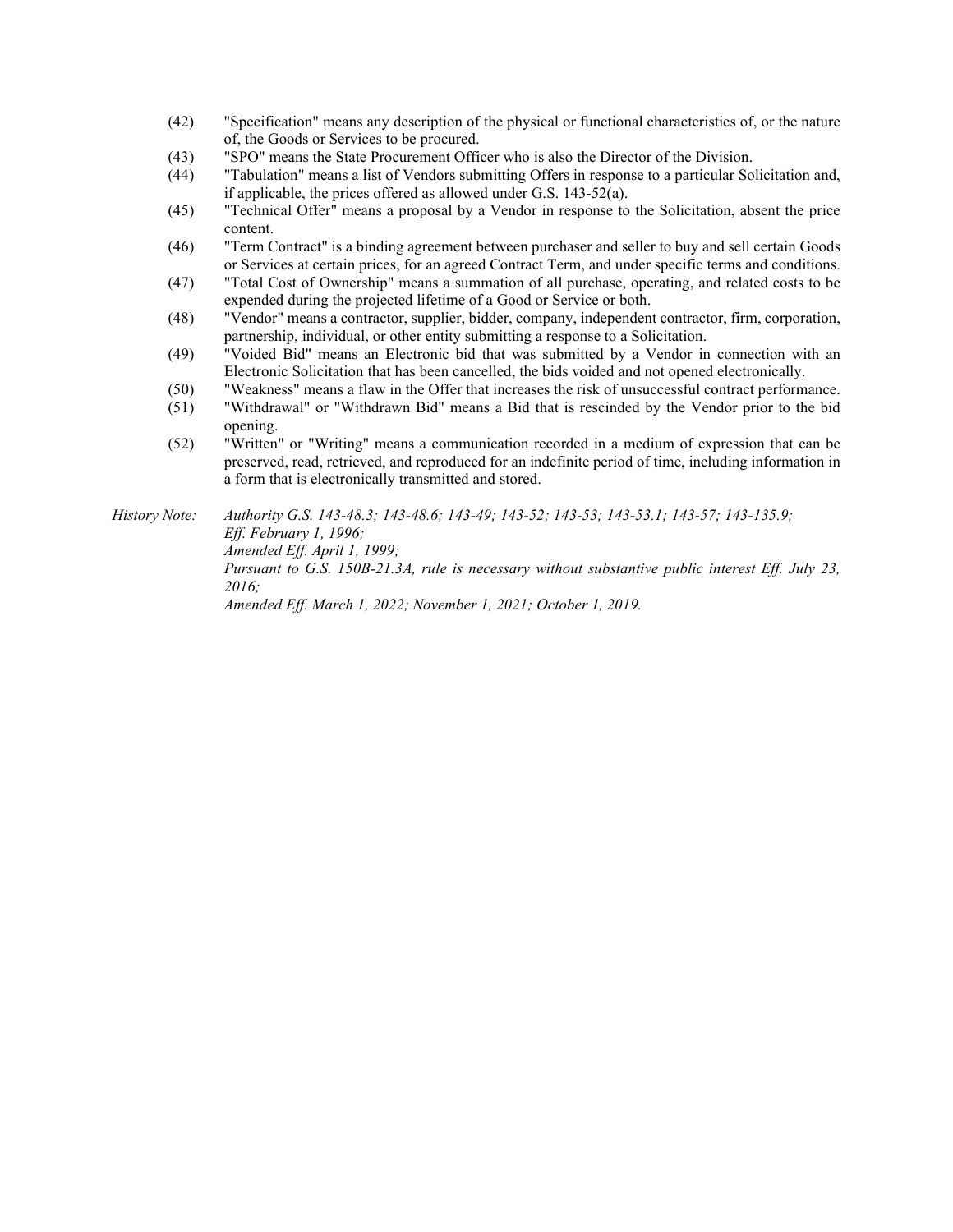- (42) "Specification" means any description of the physical or functional characteristics of, or the nature of, the Goods or Services to be procured.
- (43) "SPO" means the State Procurement Officer who is also the Director of the Division.
- (44) "Tabulation" means a list of Vendors submitting Offers in response to a particular Solicitation and, if applicable, the prices offered as allowed under G.S. 143-52(a).
- (45) "Technical Offer" means a proposal by a Vendor in response to the Solicitation, absent the price content.
- (46) "Term Contract" is a binding agreement between purchaser and seller to buy and sell certain Goods or Services at certain prices, for an agreed Contract Term, and under specific terms and conditions.
- (47) "Total Cost of Ownership" means a summation of all purchase, operating, and related costs to be expended during the projected lifetime of a Good or Service or both.
- (48) "Vendor" means a contractor, supplier, bidder, company, independent contractor, firm, corporation, partnership, individual, or other entity submitting a response to a Solicitation.
- (49) "Voided Bid" means an Electronic bid that was submitted by a Vendor in connection with an Electronic Solicitation that has been cancelled, the bids voided and not opened electronically.
- (50) "Weakness" means a flaw in the Offer that increases the risk of unsuccessful contract performance.
- (51) "Withdrawal" or "Withdrawn Bid" means a Bid that is rescinded by the Vendor prior to the bid opening.
- (52) "Written" or "Writing" means a communication recorded in a medium of expression that can be preserved, read, retrieved, and reproduced for an indefinite period of time, including information in a form that is electronically transmitted and stored.

*History Note: Authority G.S. 143-48.3; 143-48.6; 143-49; 143-52; 143-53; 143-53.1; 143-57; 143-135.9; Eff. February 1, 1996; Amended Eff. April 1, 1999; Pursuant to G.S. 150B-21.3A, rule is necessary without substantive public interest Eff. July 23, 2016; Amended Eff. March 1, 2022; November 1, 2021; October 1, 2019.*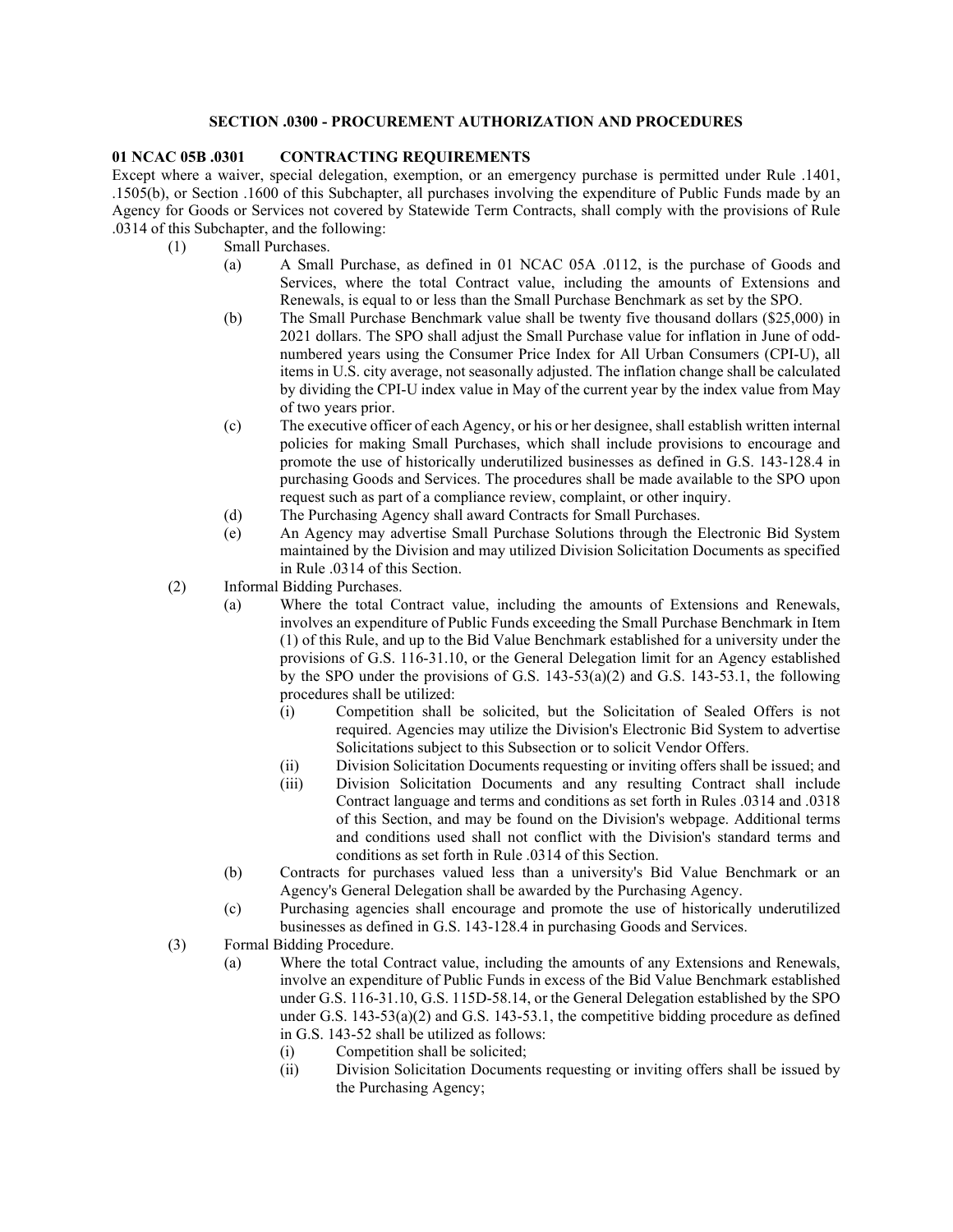## **SECTION .0300 - PROCUREMENT AUTHORIZATION AND PROCEDURES**

## **01 NCAC 05B .0301 CONTRACTING REQUIREMENTS**

Except where a waiver, special delegation, exemption, or an emergency purchase is permitted under Rule .1401, .1505(b), or Section .1600 of this Subchapter, all purchases involving the expenditure of Public Funds made by an Agency for Goods or Services not covered by Statewide Term Contracts, shall comply with the provisions of Rule .0314 of this Subchapter, and the following:

- (1) Small Purchases.
	- (a) A Small Purchase, as defined in 01 NCAC 05A .0112, is the purchase of Goods and Services, where the total Contract value, including the amounts of Extensions and Renewals, is equal to or less than the Small Purchase Benchmark as set by the SPO.
	- (b) The Small Purchase Benchmark value shall be twenty five thousand dollars (\$25,000) in 2021 dollars. The SPO shall adjust the Small Purchase value for inflation in June of oddnumbered years using the Consumer Price Index for All Urban Consumers (CPI-U), all items in U.S. city average, not seasonally adjusted. The inflation change shall be calculated by dividing the CPI-U index value in May of the current year by the index value from May of two years prior.
	- (c) The executive officer of each Agency, or his or her designee, shall establish written internal policies for making Small Purchases, which shall include provisions to encourage and promote the use of historically underutilized businesses as defined in G.S. 143-128.4 in purchasing Goods and Services. The procedures shall be made available to the SPO upon request such as part of a compliance review, complaint, or other inquiry.
	- (d) The Purchasing Agency shall award Contracts for Small Purchases.
	- (e) An Agency may advertise Small Purchase Solutions through the Electronic Bid System maintained by the Division and may utilized Division Solicitation Documents as specified in Rule .0314 of this Section.
- (2) Informal Bidding Purchases.
	- (a) Where the total Contract value, including the amounts of Extensions and Renewals, involves an expenditure of Public Funds exceeding the Small Purchase Benchmark in Item (1) of this Rule, and up to the Bid Value Benchmark established for a university under the provisions of G.S. 116-31.10, or the General Delegation limit for an Agency established by the SPO under the provisions of G.S. 143-53(a)(2) and G.S. 143-53.1, the following procedures shall be utilized:
		- (i) Competition shall be solicited, but the Solicitation of Sealed Offers is not required. Agencies may utilize the Division's Electronic Bid System to advertise Solicitations subject to this Subsection or to solicit Vendor Offers.
		- (ii) Division Solicitation Documents requesting or inviting offers shall be issued; and
		- (iii) Division Solicitation Documents and any resulting Contract shall include Contract language and terms and conditions as set forth in Rules .0314 and .0318 of this Section, and may be found on the Division's webpage. Additional terms and conditions used shall not conflict with the Division's standard terms and conditions as set forth in Rule .0314 of this Section.
	- (b) Contracts for purchases valued less than a university's Bid Value Benchmark or an Agency's General Delegation shall be awarded by the Purchasing Agency.
	- (c) Purchasing agencies shall encourage and promote the use of historically underutilized businesses as defined in G.S. 143-128.4 in purchasing Goods and Services.
- (3) Formal Bidding Procedure.
	- (a) Where the total Contract value, including the amounts of any Extensions and Renewals, involve an expenditure of Public Funds in excess of the Bid Value Benchmark established under G.S. 116-31.10, G.S. 115D-58.14, or the General Delegation established by the SPO under G.S.  $143-53(a)(2)$  and G.S.  $143-53.1$ , the competitive bidding procedure as defined in G.S. 143-52 shall be utilized as follows:
		- (i) Competition shall be solicited;<br>(ii) Division Solicitation Documen
		- Division Solicitation Documents requesting or inviting offers shall be issued by the Purchasing Agency;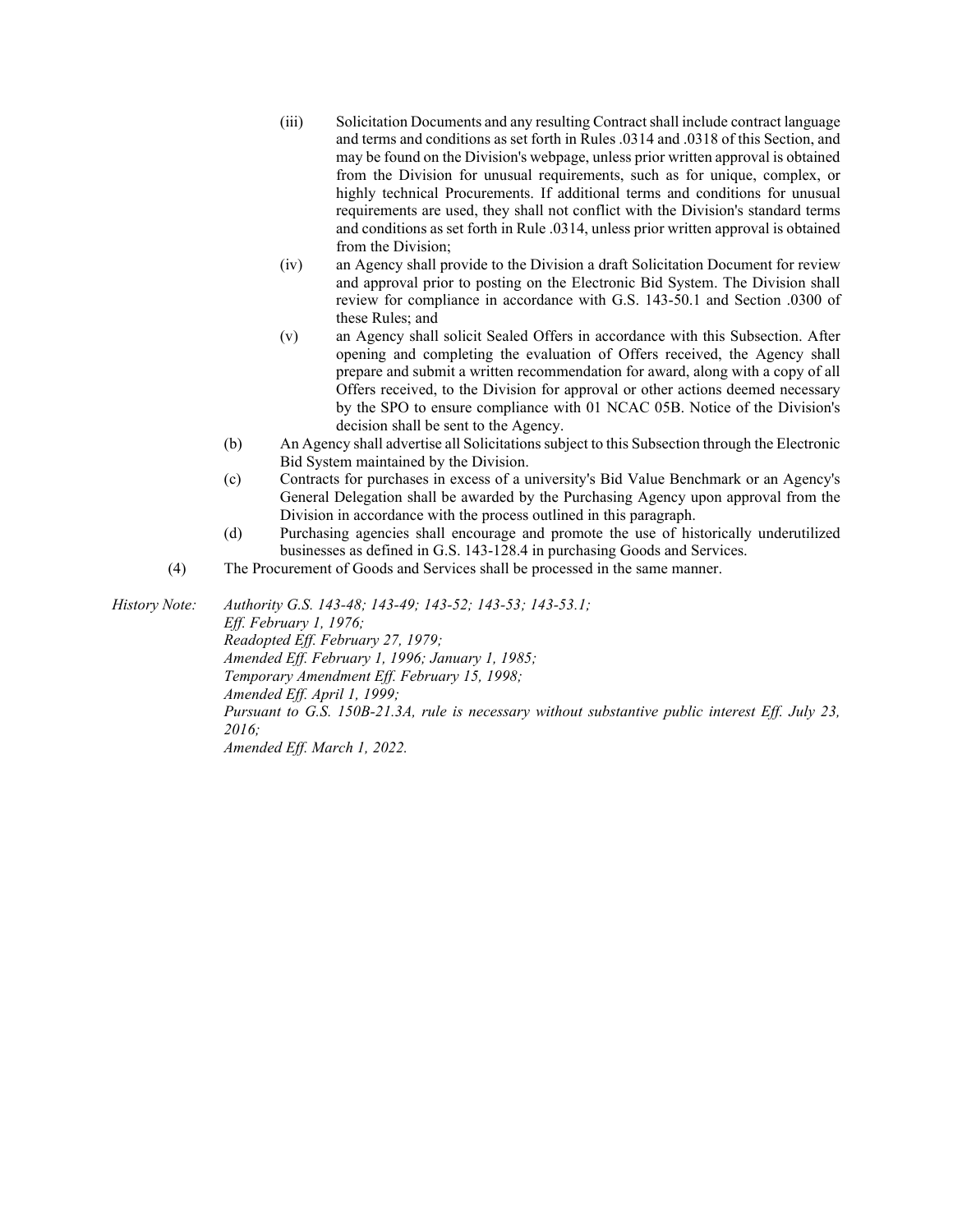- (iii) Solicitation Documents and any resulting Contract shall include contract language and terms and conditions as set forth in Rules .0314 and .0318 of this Section, and may be found on the Division's webpage, unless prior written approval is obtained from the Division for unusual requirements, such as for unique, complex, or highly technical Procurements. If additional terms and conditions for unusual requirements are used, they shall not conflict with the Division's standard terms and conditions as set forth in Rule .0314, unless prior written approval is obtained from the Division;
- (iv) an Agency shall provide to the Division a draft Solicitation Document for review and approval prior to posting on the Electronic Bid System. The Division shall review for compliance in accordance with G.S. 143-50.1 and Section .0300 of these Rules; and
- (v) an Agency shall solicit Sealed Offers in accordance with this Subsection. After opening and completing the evaluation of Offers received, the Agency shall prepare and submit a written recommendation for award, along with a copy of all Offers received, to the Division for approval or other actions deemed necessary by the SPO to ensure compliance with 01 NCAC 05B. Notice of the Division's decision shall be sent to the Agency.
- (b) An Agency shall advertise all Solicitations subject to this Subsection through the Electronic Bid System maintained by the Division.
- (c) Contracts for purchases in excess of a university's Bid Value Benchmark or an Agency's General Delegation shall be awarded by the Purchasing Agency upon approval from the Division in accordance with the process outlined in this paragraph.
- (d) Purchasing agencies shall encourage and promote the use of historically underutilized businesses as defined in G.S. 143-128.4 in purchasing Goods and Services.
- (4) The Procurement of Goods and Services shall be processed in the same manner.

*History Note: Authority G.S. 143-48; 143-49; 143-52; 143-53; 143-53.1; Eff. February 1, 1976; Readopted Eff. February 27, 1979; Amended Eff. February 1, 1996; January 1, 1985; Temporary Amendment Eff. February 15, 1998; Amended Eff. April 1, 1999; Pursuant to G.S. 150B-21.3A, rule is necessary without substantive public interest Eff. July 23, 2016; Amended Eff. March 1, 2022.*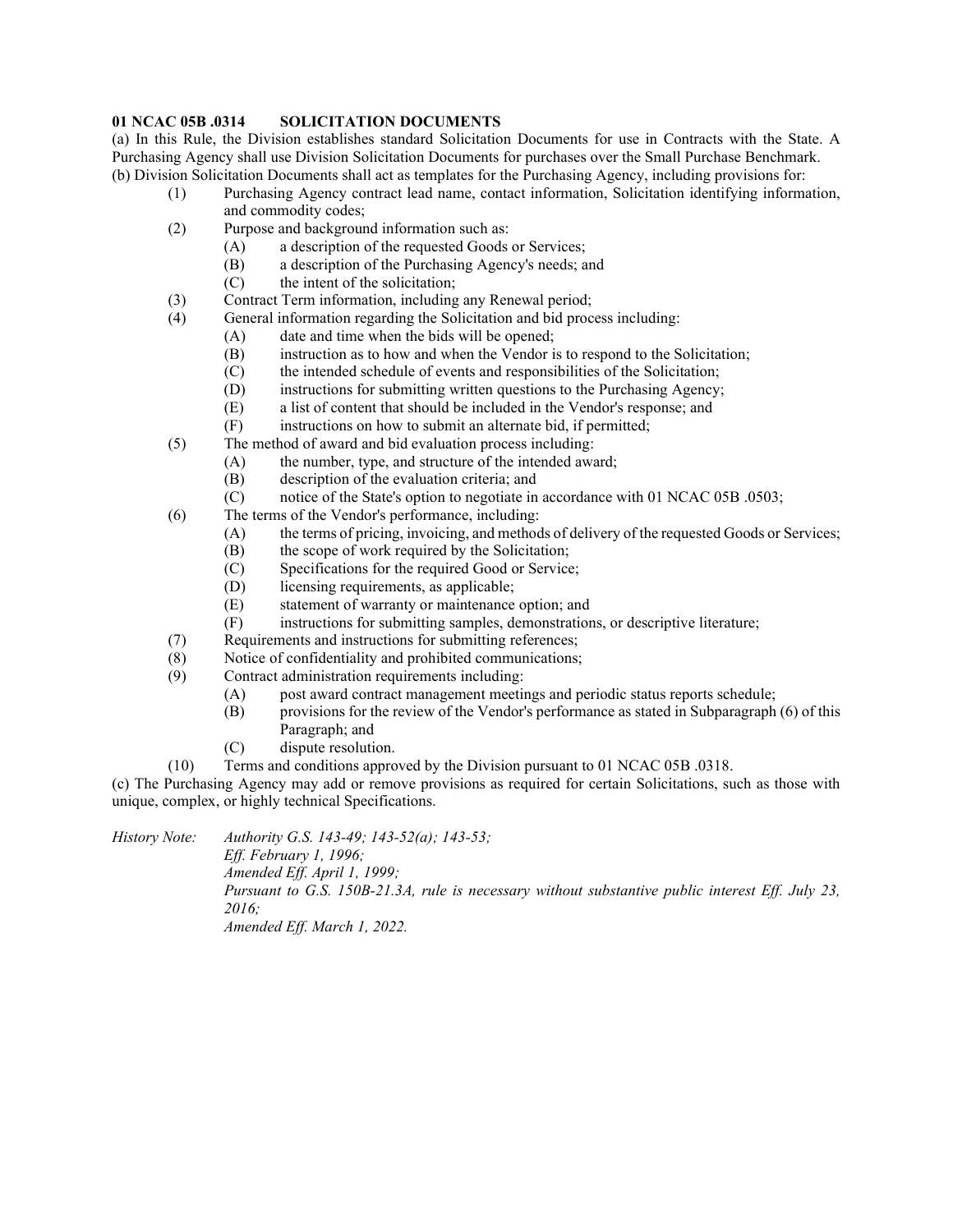# **01 NCAC 05B .0314 SOLICITATION DOCUMENTS**

(a) In this Rule, the Division establishes standard Solicitation Documents for use in Contracts with the State. A Purchasing Agency shall use Division Solicitation Documents for purchases over the Small Purchase Benchmark. (b) Division Solicitation Documents shall act as templates for the Purchasing Agency, including provisions for:

- (1) Purchasing Agency contract lead name, contact information, Solicitation identifying information, and commodity codes;
- (2) Purpose and background information such as:
	- (A) a description of the requested Goods or Services;
	- (B) a description of the Purchasing Agency's needs; and
	- $(C)$  the intent of the solicitation;
- (3) Contract Term information, including any Renewal period;
- (4) General information regarding the Solicitation and bid process including:
	- (A) date and time when the bids will be opened;
	- (B) instruction as to how and when the Vendor is to respond to the Solicitation;
	- (C) the intended schedule of events and responsibilities of the Solicitation;
	- (D) instructions for submitting written questions to the Purchasing Agency;
	- (E) a list of content that should be included in the Vendor's response; and
	- (F) instructions on how to submit an alternate bid, if permitted;
- (5) The method of award and bid evaluation process including:
	- (A) the number, type, and structure of the intended award;
	- (B) description of the evaluation criteria; and
	- (C) notice of the State's option to negotiate in accordance with 01 NCAC 05B .0503;
- (6) The terms of the Vendor's performance, including:
	- (A) the terms of pricing, invoicing, and methods of delivery of the requested Goods or Services;
	- (B) the scope of work required by the Solicitation;
	- (C) Specifications for the required Good or Service;
	- (D) licensing requirements, as applicable;
	- (E) statement of warranty or maintenance option; and
	- (F) instructions for submitting samples, demonstrations, or descriptive literature;
- (7) Requirements and instructions for submitting references;
- (8) Notice of confidentiality and prohibited communications;
- (9) Contract administration requirements including:
	- (A) post award contract management meetings and periodic status reports schedule;
	- (B) provisions for the review of the Vendor's performance as stated in Subparagraph (6) of this Paragraph; and
	- (C) dispute resolution.
- (10) Terms and conditions approved by the Division pursuant to 01 NCAC 05B .0318.

(c) The Purchasing Agency may add or remove provisions as required for certain Solicitations, such as those with unique, complex, or highly technical Specifications.

*History Note: Authority G.S. 143-49; 143-52(a); 143-53;*

*Eff. February 1, 1996; Amended Eff. April 1, 1999; Pursuant to G.S. 150B-21.3A, rule is necessary without substantive public interest Eff. July 23, 2016; Amended Eff. March 1, 2022.*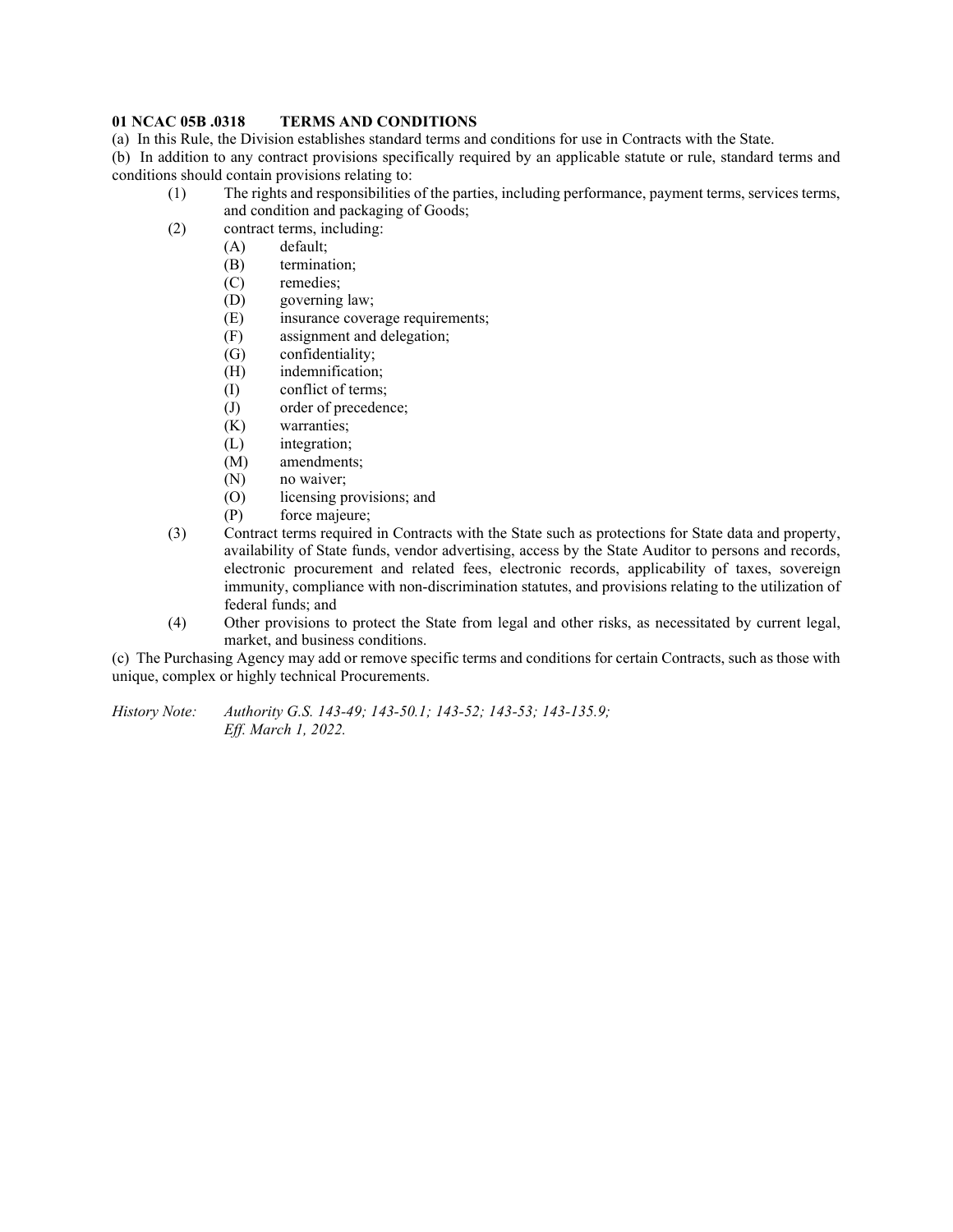#### **01 NCAC 05B .0318 TERMS AND CONDITIONS**

(a) In this Rule, the Division establishes standard terms and conditions for use in Contracts with the State.

(b) In addition to any contract provisions specifically required by an applicable statute or rule, standard terms and conditions should contain provisions relating to:

- (1) The rights and responsibilities of the parties, including performance, payment terms, services terms, and condition and packaging of Goods;
- (2) contract terms, including:
	- (A) default;
		- (B) termination;
		- (C) remedies;
		- (D) governing law;
		- (E) insurance coverage requirements;
		- (F) assignment and delegation;
		- (G) confidentiality;
		- (H) indemnification;
		- (I) conflict of terms;
		- (J) order of precedence;
		- (K) warranties;
		- (L) integration;
		- (M) amendments;
		- (N) no waiver;
		- (O) licensing provisions; and
		- (P) force majeure;
- (3) Contract terms required in Contracts with the State such as protections for State data and property, availability of State funds, vendor advertising, access by the State Auditor to persons and records, electronic procurement and related fees, electronic records, applicability of taxes, sovereign immunity, compliance with non-discrimination statutes, and provisions relating to the utilization of federal funds; and
- (4) Other provisions to protect the State from legal and other risks, as necessitated by current legal, market, and business conditions.

(c) The Purchasing Agency may add or remove specific terms and conditions for certain Contracts, such as those with unique, complex or highly technical Procurements.

*History Note: Authority G.S. 143-49; 143-50.1; 143-52; 143-53; 143-135.9; Eff. March 1, 2022.*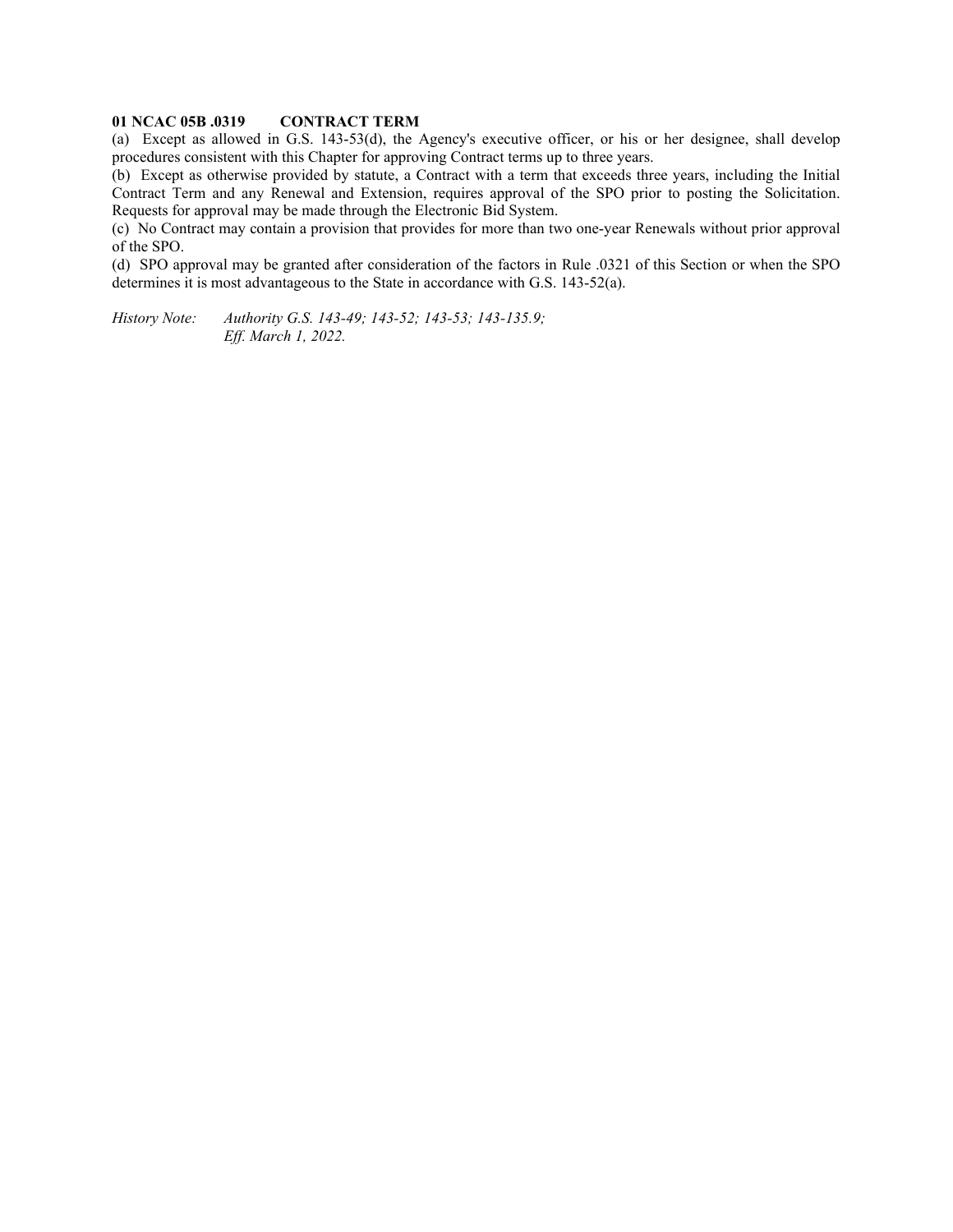# **01 NCAC 05B .0319 CONTRACT TERM**

(a) Except as allowed in G.S. 143-53(d), the Agency's executive officer, or his or her designee, shall develop procedures consistent with this Chapter for approving Contract terms up to three years.

(b) Except as otherwise provided by statute, a Contract with a term that exceeds three years, including the Initial Contract Term and any Renewal and Extension, requires approval of the SPO prior to posting the Solicitation. Requests for approval may be made through the Electronic Bid System.

(c) No Contract may contain a provision that provides for more than two one-year Renewals without prior approval of the SPO.

(d) SPO approval may be granted after consideration of the factors in Rule .0321 of this Section or when the SPO determines it is most advantageous to the State in accordance with G.S. 143-52(a).

*History Note: Authority G.S. 143-49; 143-52; 143-53; 143-135.9; Eff. March 1, 2022.*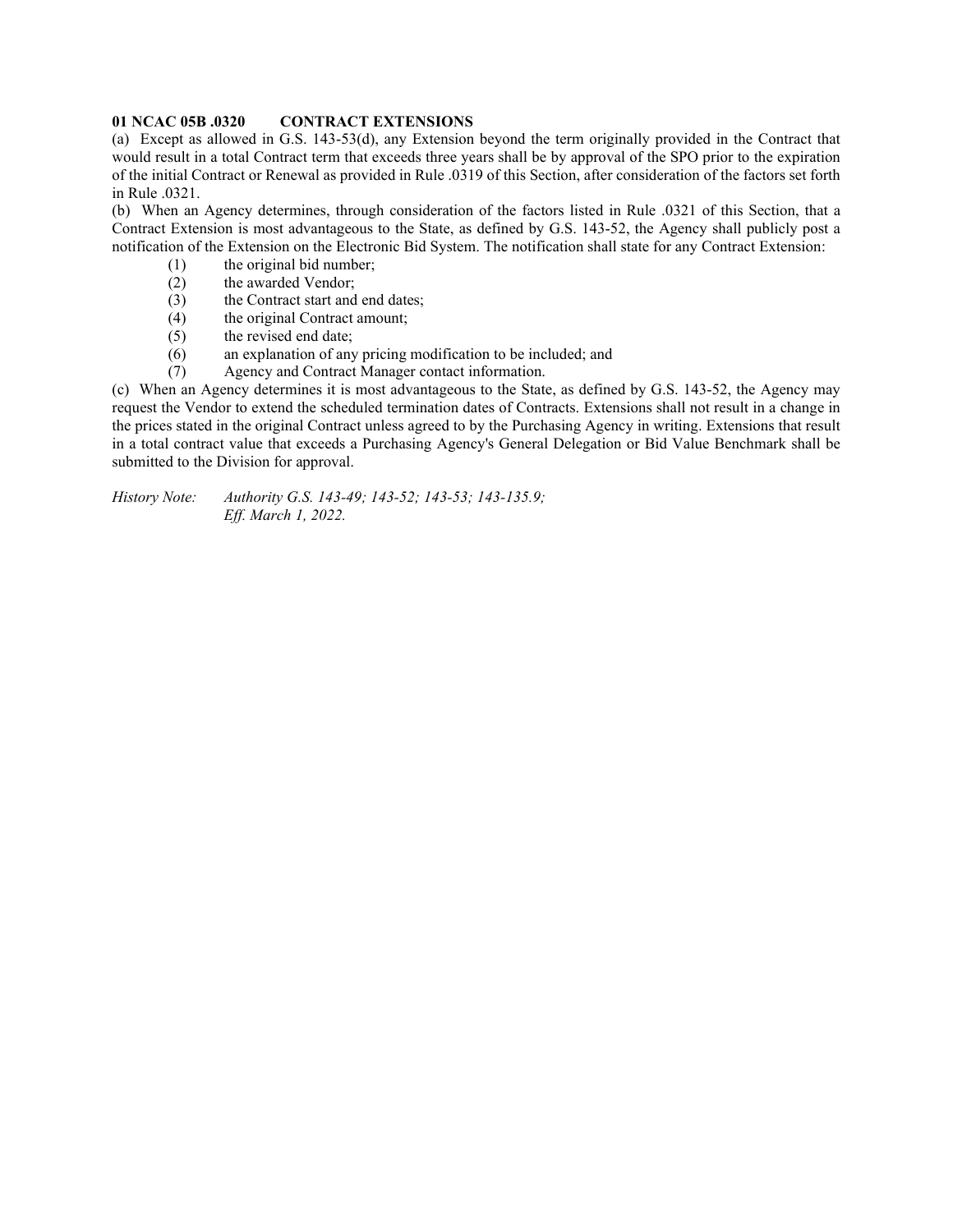#### **01 NCAC 05B .0320 CONTRACT EXTENSIONS**

(a) Except as allowed in G.S. 143-53(d), any Extension beyond the term originally provided in the Contract that would result in a total Contract term that exceeds three years shall be by approval of the SPO prior to the expiration of the initial Contract or Renewal as provided in Rule .0319 of this Section, after consideration of the factors set forth in Rule .0321.

(b) When an Agency determines, through consideration of the factors listed in Rule .0321 of this Section, that a Contract Extension is most advantageous to the State, as defined by G.S. 143-52, the Agency shall publicly post a notification of the Extension on the Electronic Bid System. The notification shall state for any Contract Extension:

- (1) the original bid number;<br>(2) the awarded Vendor;
- the awarded Vendor;
- (3) the Contract start and end dates;
- (4) the original Contract amount;
- (5) the revised end date;
- (6) an explanation of any pricing modification to be included; and
- (7) Agency and Contract Manager contact information.

(c) When an Agency determines it is most advantageous to the State, as defined by G.S. 143-52, the Agency may request the Vendor to extend the scheduled termination dates of Contracts. Extensions shall not result in a change in the prices stated in the original Contract unless agreed to by the Purchasing Agency in writing. Extensions that result in a total contract value that exceeds a Purchasing Agency's General Delegation or Bid Value Benchmark shall be submitted to the Division for approval.

*History Note: Authority G.S. 143-49; 143-52; 143-53; 143-135.9; Eff. March 1, 2022.*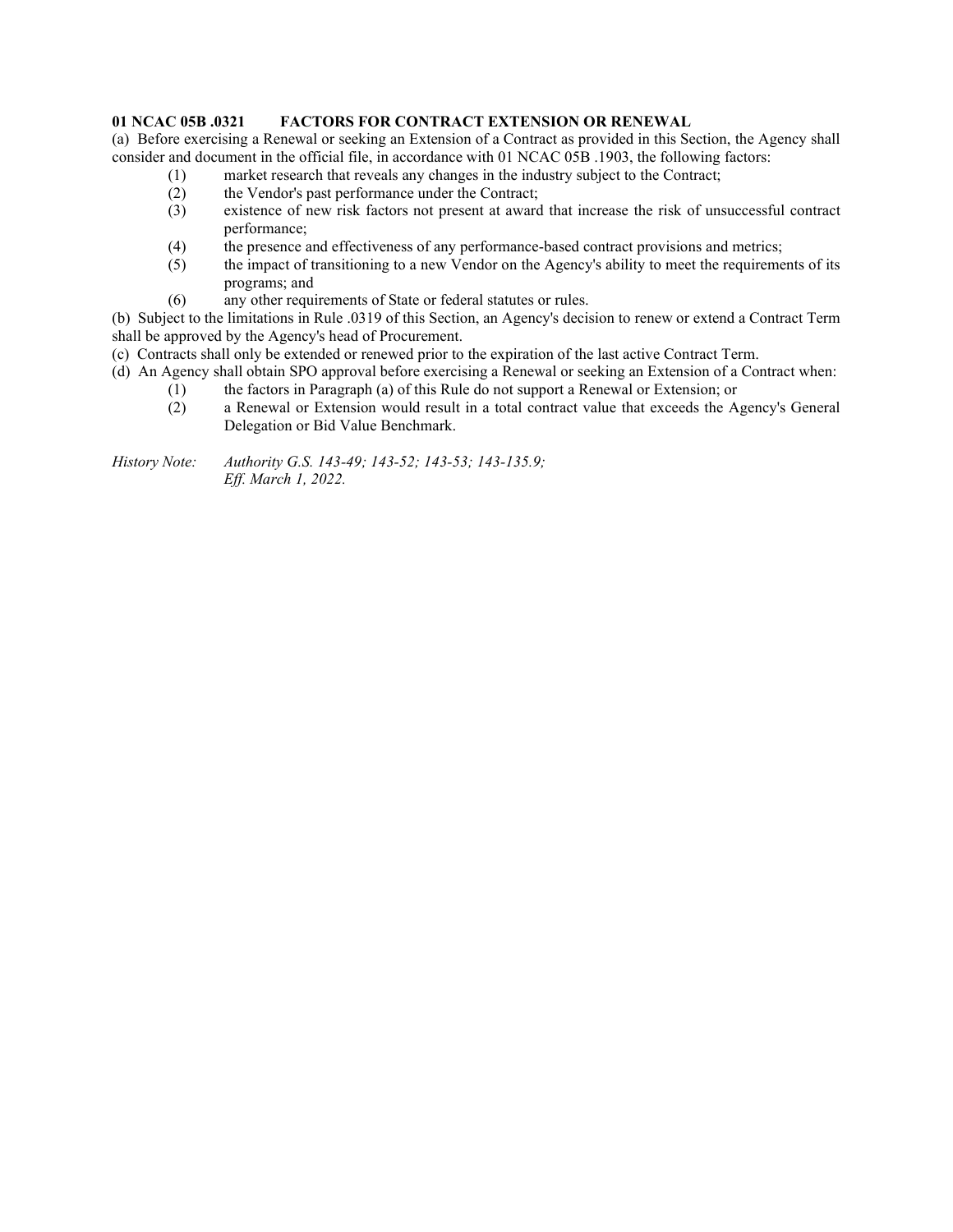# **01 NCAC 05B .0321 FACTORS FOR CONTRACT EXTENSION OR RENEWAL**

(a) Before exercising a Renewal or seeking an Extension of a Contract as provided in this Section, the Agency shall consider and document in the official file, in accordance with 01 NCAC 05B .1903, the following factors:

- (1) market research that reveals any changes in the industry subject to the Contract;
	- (2) the Vendor's past performance under the Contract;
	- (3) existence of new risk factors not present at award that increase the risk of unsuccessful contract performance;
	- (4) the presence and effectiveness of any performance-based contract provisions and metrics;
	- (5) the impact of transitioning to a new Vendor on the Agency's ability to meet the requirements of its programs; and
	- (6) any other requirements of State or federal statutes or rules.

(b) Subject to the limitations in Rule .0319 of this Section, an Agency's decision to renew or extend a Contract Term shall be approved by the Agency's head of Procurement.

(c) Contracts shall only be extended or renewed prior to the expiration of the last active Contract Term.

- (d) An Agency shall obtain SPO approval before exercising a Renewal or seeking an Extension of a Contract when:
	- (1) the factors in Paragraph (a) of this Rule do not support a Renewal or Extension; or
		- (2) a Renewal or Extension would result in a total contract value that exceeds the Agency's General Delegation or Bid Value Benchmark.

*History Note: Authority G.S. 143-49; 143-52; 143-53; 143-135.9; Eff. March 1, 2022.*